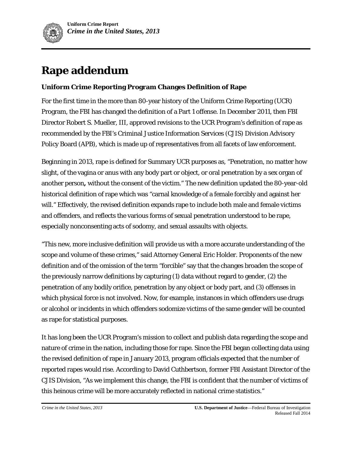

# **Rape addendum**

### **Uniform Crime Reporting Program Changes Definition of Rape**

For the first time in the more than 80-year history of the Uniform Crime Reporting (UCR) Program, the FBI has changed the definition of a Part 1 offense. In December 2011, then FBI Director Robert S. Mueller, III, approved revisions to the UCR Program's definition of rape as recommended by the FBI's Criminal Justice Information Services (CJIS) Division Advisory Policy Board (APB), which is made up of representatives from all facets of law enforcement.

Beginning in 2013, rape is defined for Summary UCR purposes as, "Penetration, no matter how slight, of the vagina or anus with any body part or object, or oral penetration by a sex organ of another person**,** without the consent of the victim." The new definition updated the 80-year-old historical definition of rape which was "carnal knowledge of a female forcibly and against her will." Effectively, the revised definition expands rape to include both male and female victims and offenders, and reflects the various forms of sexual penetration understood to be rape, especially nonconsenting acts of sodomy, and sexual assaults with objects.

"This new, more inclusive definition will provide us with a more accurate understanding of the scope and volume of these crimes," said Attorney General Eric Holder. Proponents of the new definition and of the omission of the term "forcible" say that the changes broaden the scope of the previously narrow definitions by capturing (1) data without regard to gender, (2) the penetration of any bodily orifice, penetration by any object or body part, and (3) offenses in which physical force is not involved. Now, for example, instances in which offenders use drugs or alcohol or incidents in which offenders sodomize victims of the same gender will be counted as rape for statistical purposes.

It has long been the UCR Program's mission to collect and publish data regarding the scope and nature of crime in the nation, including those for rape. Since the FBI began collecting data using the revised definition of rape in January 2013, program officials expected that the number of reported rapes would rise. According to David Cuthbertson, former FBI Assistant Director of the CJIS Division, "As we implement this change, the FBI is confident that the number of victims of this heinous crime will be more accurately reflected in national crime statistics."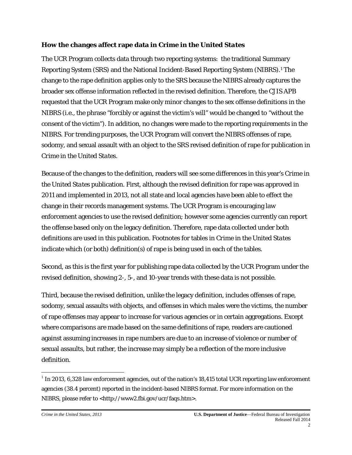#### **How the changes affect rape data in** *Crime in the United States*

The UCR Program collects data through two reporting systems: the traditional Summary Reporting System (SRS) and the National Incident-Based Reporting System (NIBRS).[1](#page-1-0) The change to the rape definition applies only to the SRS because the NIBRS already captures the broader sex offense information reflected in the revised definition. Therefore, the CJIS APB requested that the UCR Program make only minor changes to the sex offense definitions in the NIBRS (i.e., the phrase "forcibly or against the victim's will" would be changed to "without the consent of the victim"). In addition, no changes were made to the reporting requirements in the NIBRS. For trending purposes, the UCR Program will convert the NIBRS offenses of rape, sodomy, and sexual assault with an object to the SRS revised definition of rape for publication in *Crime in the United States*.

Because of the changes to the definition, readers will see some differences in this year's *Crime in the United States* publication. First, although the revised definition for rape was approved in 2011 and implemented in 2013, not all state and local agencies have been able to effect the change in their records management systems. The UCR Program is encouraging law enforcement agencies to use the revised definition; however some agencies currently can report the offense based only on the legacy definition. Therefore, rape data collected under both definitions are used in this publication. Footnotes for tables in *Crime in the United States* indicate which (or both) definition(s) of rape is being used in each of the tables.

Second, as this is the first year for publishing rape data collected by the UCR Program under the revised definition, showing 2-, 5-, and 10-year trends with these data is not possible.

Third, because the revised definition, unlike the legacy definition, includes offenses of rape, sodomy, sexual assaults with objects, and offenses in which males were the victims, the number of rape offenses may appear to increase for various agencies or in certain aggregations. Except where comparisons are made based on the same definitions of rape, readers are cautioned against assuming increases in rape numbers are due to an increase of violence or number of sexual assaults, but rather, the increase may simply be a reflection of the more inclusive definition.

<span id="page-1-0"></span> $1$  In 2013, 6,328 law enforcement agencies, out of the nation's 18,415 total UCR reporting law enforcement agencies (38.4 percent) reported in the incident-based NIBRS format. For more information on the NIBRS, please refer to <http://www2.fbi.gov/ucr/faqs.htm>.  $\overline{a}$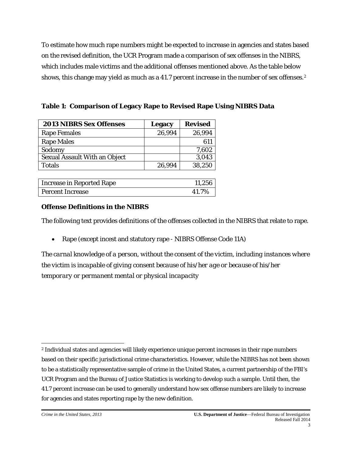To estimate how much rape numbers might be expected to increase in agencies and states based on the revised definition, the UCR Program made a comparison of sex offenses in the NIBRS, which includes male victims and the additional offenses mentioned above. As the table below shows, this change may yield as much as a 41.7 percent increase in the number of sex offenses.<sup>[2](#page-2-0)</sup>

**Table 1: Comparison of Legacy Rape to Revised Rape Using NIBRS Data**

| <b>2013 NIBRS Sex Offenses</b>       | <b>Legacy</b> | <b>Revised</b> |
|--------------------------------------|---------------|----------------|
| <b>Rape Females</b>                  | 26,994        | 26,994         |
| <b>Rape Males</b>                    |               | 611            |
| Sodomy                               |               | 7,602          |
| <b>Sexual Assault With an Object</b> |               | 3,043          |
| <b>Totals</b>                        | 26,994        | 38,250         |

| <b>Increase in Reported Rape</b> | 11,256 |
|----------------------------------|--------|
| <b>Percent Increase</b>          | 41.7%  |

## **Offense Definitions in the NIBRS**

The following text provides definitions of the offenses collected in the NIBRS that relate to rape.

• Rape (except incest and statutory rape - NIBRS Offense Code 11A)

*The carnal knowledge of a person, without the consent of the victim, including instances where the victim is incapable of giving consent because of his/her age or because of his/her temporary or permanent mental or physical incapacity*

<span id="page-2-0"></span><sup>2</sup> Individual states and agencies will likely experience unique percent increases in their rape numbers based on their specific jurisdictional crime characteristics. However, while the NIBRS has not been shown to be a statistically representative sample of crime in the United States, a current partnership of the FBI's UCR Program and the Bureau of Justice Statistics is working to develop such a sample. Until then, the 41.7 percent increase can be used to generally understand how sex offense numbers are likely to increase for agencies and states reporting rape by the new definition.  $\overline{a}$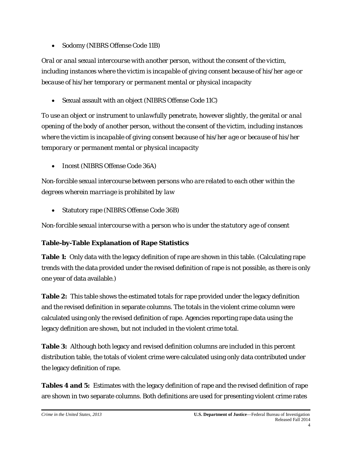• Sodomy (NIBRS Offense Code 11B)

*Oral or anal sexual intercourse with another person, without the consent of the victim, including instances where the victim is incapable of giving consent because of his/her age or because of his/her temporary or permanent mental or physical incapacity* 

• Sexual assault with an object (NIBRS Offense Code 11C)

*To use an object or instrument to unlawfully penetrate, however slightly, the genital or anal opening of the body of another person, without the consent of the victim, including instances where the victim is incapable of giving consent because of his/her age or because of his/her temporary or permanent mental or physical incapacity*

• Incest (NIBRS Offense Code 36A)

*Non-forcible sexual intercourse between persons who are related to each other within the degrees wherein marriage is prohibited by law*

• Statutory rape (NIBRS Offense Code 36B)

*Non-forcible sexual intercourse with a person who is under the statutory age of consent*

## **Table-by-Table Explanation of Rape Statistics**

**Table 1:** Only data with the legacy definition of rape are shown in this table. (Calculating rape trends with the data provided under the revised definition of rape is not possible, as there is only one year of data available.)

**Table 2:** This table shows the estimated totals for rape provided under the legacy definition and the revised definition in separate columns. The totals in the violent crime column were calculated using only the revised definition of rape. Agencies reporting rape data using the legacy definition are shown, but not included in the violent crime total.

**Table 3:** Although both legacy and revised definition columns are included in this percent distribution table, the totals of violent crime were calculated using only data contributed under the legacy definition of rape.

**Tables 4 and 5:** Estimates with the legacy definition of rape and the revised definition of rape are shown in two separate columns. Both definitions are used for presenting violent crime rates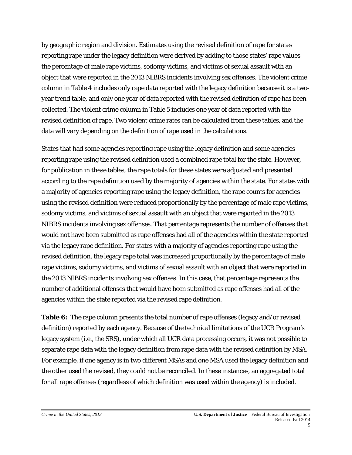by geographic region and division. Estimates using the revised definition of rape for states reporting rape under the legacy definition were derived by adding to those states' rape values the percentage of male rape victims, sodomy victims, and victims of sexual assault with an object that were reported in the 2013 NIBRS incidents involving sex offenses. The violent crime column in Table 4 includes only rape data reported with the legacy definition because it is a twoyear trend table, and only one year of data reported with the revised definition of rape has been collected. The violent crime column in Table 5 includes one year of data reported with the revised definition of rape. Two violent crime rates can be calculated from these tables, and the data will vary depending on the definition of rape used in the calculations.

States that had some agencies reporting rape using the legacy definition and some agencies reporting rape using the revised definition used a combined rape total for the state. However, for publication in these tables, the rape totals for these states were adjusted and presented according to the rape definition used by the majority of agencies within the state. For states with a majority of agencies reporting rape using the legacy definition, the rape counts for agencies using the revised definition were reduced proportionally by the percentage of male rape victims, sodomy victims, and victims of sexual assault with an object that were reported in the 2013 NIBRS incidents involving sex offenses. That percentage represents the number of offenses that would not have been submitted as rape offenses had all of the agencies within the state reported via the legacy rape definition. For states with a majority of agencies reporting rape using the revised definition, the legacy rape total was increased proportionally by the percentage of male rape victims, sodomy victims, and victims of sexual assault with an object that were reported in the 2013 NIBRS incidents involving sex offenses. In this case, that percentage represents the number of additional offenses that would have been submitted as rape offenses had all of the agencies within the state reported via the revised rape definition.

**Table 6:** The rape column presents the total number of rape offenses (legacy and/or revised definition) reported by each agency. Because of the technical limitations of the UCR Program's legacy system (i.e., the SRS), under which all UCR data processing occurs, it was not possible to separate rape data with the legacy definition from rape data with the revised definition by MSA. For example, if one agency is in two different MSAs and one MSA used the legacy definition and the other used the revised, they could not be reconciled. In these instances, an aggregated total for all rape offenses (regardless of which definition was used within the agency) is included.